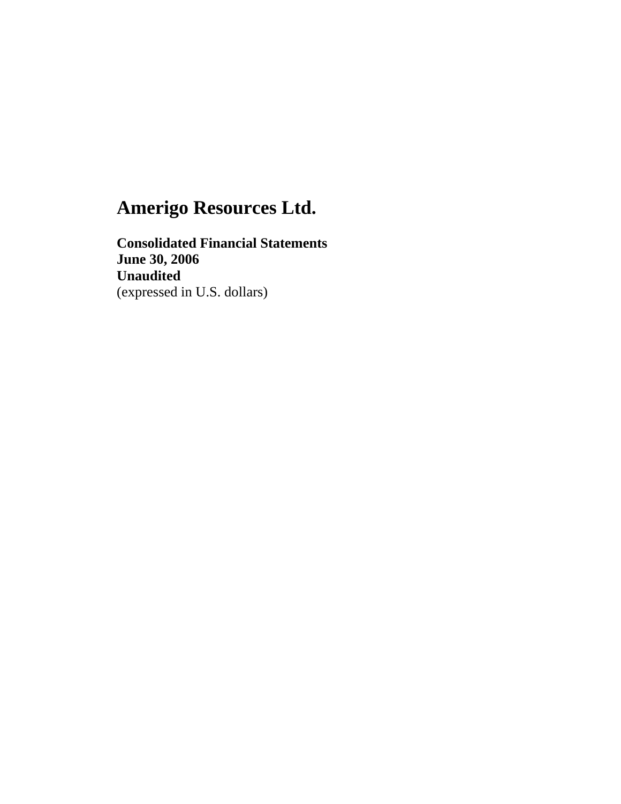**Consolidated Financial Statements June 30, 2006 Unaudited**  (expressed in U.S. dollars)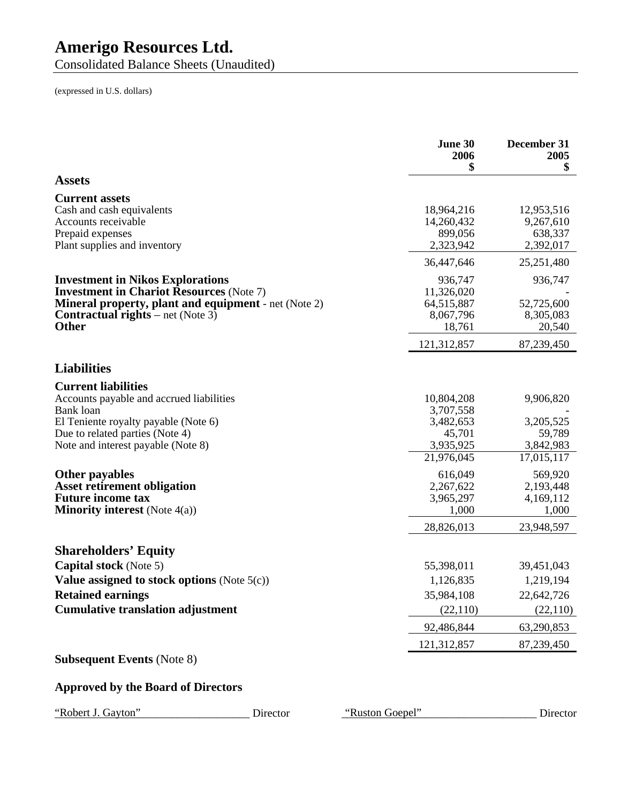Consolidated Balance Sheets (Unaudited)

(expressed in U.S. dollars)

|                                                                                                                | June 30<br>2006<br>\$    | December 31<br>2005<br>\$ |
|----------------------------------------------------------------------------------------------------------------|--------------------------|---------------------------|
| <b>Assets</b>                                                                                                  |                          |                           |
| <b>Current assets</b>                                                                                          |                          |                           |
| Cash and cash equivalents                                                                                      | 18,964,216               | 12,953,516                |
| Accounts receivable                                                                                            | 14,260,432               | 9,267,610                 |
| Prepaid expenses                                                                                               | 899,056                  | 638,337                   |
| Plant supplies and inventory                                                                                   | 2,323,942                | 2,392,017<br>25,251,480   |
|                                                                                                                | 36,447,646               |                           |
| <b>Investment in Nikos Explorations</b>                                                                        | 936,747                  | 936,747                   |
| <b>Investment in Chariot Resources (Note 7)</b><br><b>Mineral property, plant and equipment</b> - net (Note 2) | 11,326,020<br>64,515,887 | 52,725,600                |
| <b>Contractual rights</b> – net (Note 3)                                                                       | 8,067,796                | 8,305,083                 |
| <b>Other</b>                                                                                                   | 18,761                   | 20,540                    |
|                                                                                                                | 121,312,857              | 87,239,450                |
| <b>Liabilities</b>                                                                                             |                          |                           |
| <b>Current liabilities</b>                                                                                     |                          |                           |
| Accounts payable and accrued liabilities                                                                       | 10,804,208               | 9,906,820                 |
| Bank loan                                                                                                      | 3,707,558                |                           |
| El Teniente royalty payable (Note 6)                                                                           | 3,482,653                | 3,205,525                 |
| Due to related parties (Note 4)                                                                                | 45,701                   | 59,789                    |
| Note and interest payable (Note 8)                                                                             | 3,935,925                | 3,842,983                 |
|                                                                                                                | 21,976,045               | 17,015,117                |
| <b>Other payables</b>                                                                                          | 616,049                  | 569,920                   |
| <b>Asset retirement obligation</b>                                                                             | 2,267,622                | 2,193,448                 |
| <b>Future income tax</b>                                                                                       | 3,965,297                | 4,169,112                 |
| <b>Minority interest</b> (Note $4(a)$ )                                                                        | 1,000                    | 1,000                     |
|                                                                                                                | 28,826,013               | 23,948,597                |
| <b>Shareholders' Equity</b>                                                                                    |                          |                           |
| <b>Capital stock</b> (Note 5)                                                                                  | 55,398,011               | 39,451,043                |
| Value assigned to stock options (Note $5(c)$ )                                                                 | 1,126,835                | 1,219,194                 |
| <b>Retained earnings</b>                                                                                       | 35,984,108               | 22,642,726                |
| <b>Cumulative translation adjustment</b>                                                                       | (22,110)                 | (22,110)                  |
|                                                                                                                | 92,486,844               | 63,290,853                |
|                                                                                                                | 121,312,857              | 87,239,450                |
| <b>Subsequent Events (Note 8)</b>                                                                              |                          |                           |
| <b>Approved by the Board of Directors</b>                                                                      |                          |                           |
|                                                                                                                |                          |                           |

"Robert J. Gayton" Director "Ruston Goepel" Director "Ruston Goepel" Director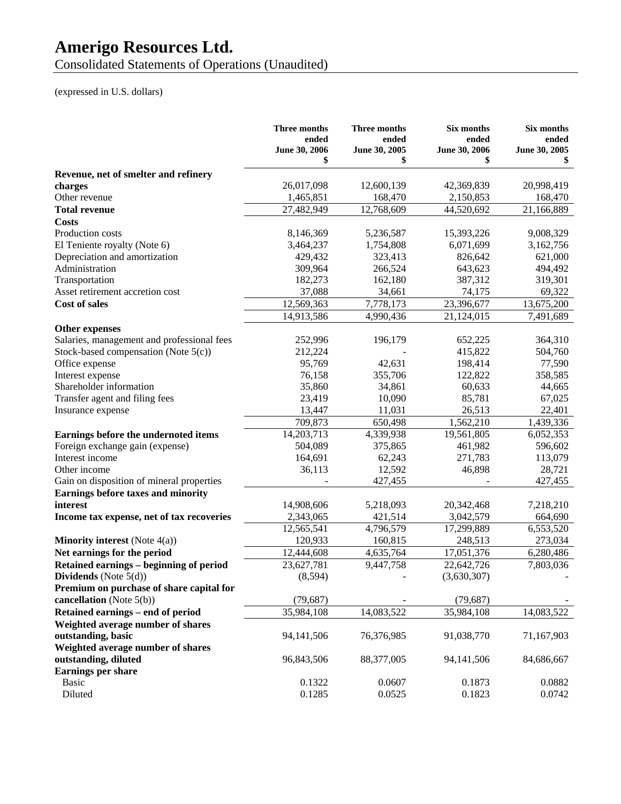Consolidated Statements of Operations (Unaudited)

# (expressed in U.S. dollars)

|                                            | Three months<br>ended<br>June 30, 2006<br>\$ | Three months<br>ended<br>June 30, 2005<br>\$ | Six months<br>ended<br>June 30, 2006<br>\$ | Six months<br>ended<br>June 30, 2005<br>S |
|--------------------------------------------|----------------------------------------------|----------------------------------------------|--------------------------------------------|-------------------------------------------|
| Revenue, net of smelter and refinery       |                                              |                                              |                                            |                                           |
| charges                                    | 26,017,098                                   | 12,600,139                                   | 42,369,839                                 | 20,998,419                                |
| Other revenue                              | 1,465,851                                    | 168,470                                      | 2,150,853                                  | 168,470                                   |
| <b>Total revenue</b>                       | 27,482,949                                   | 12,768,609                                   | 44,520,692                                 | 21,166,889                                |
| <b>Costs</b>                               |                                              |                                              |                                            |                                           |
| Production costs                           | 8,146,369                                    | 5,236,587                                    | 15,393,226                                 | 9,008,329                                 |
| El Teniente royalty (Note 6)               | 3,464,237                                    | 1,754,808                                    | 6,071,699                                  | 3,162,756                                 |
| Depreciation and amortization              | 429,432                                      | 323,413                                      | 826,642                                    | 621,000                                   |
| Administration                             | 309,964                                      | 266,524                                      | 643,623                                    | 494,492                                   |
| Transportation                             | 182,273                                      | 162,180                                      | 387,312                                    | 319,301                                   |
| Asset retirement accretion cost            | 37,088                                       | 34,661                                       | 74,175                                     | 69,322                                    |
| <b>Cost of sales</b>                       | 12,569,363                                   | 7,778,173                                    | 23,396,677                                 | 13,675,200                                |
|                                            | 14,913,586                                   | 4,990,436                                    | 21,124,015                                 | 7,491,689                                 |
| <b>Other expenses</b>                      |                                              |                                              |                                            |                                           |
| Salaries, management and professional fees | 252,996                                      | 196,179                                      | 652,225                                    | 364,310                                   |
| Stock-based compensation (Note $5(c)$ )    | 212,224                                      |                                              | 415,822                                    | 504,760                                   |
| Office expense                             | 95,769                                       | 42,631                                       | 198,414                                    | 77,590                                    |
| Interest expense                           | 76,158                                       | 355,706                                      | 122,822                                    | 358,585                                   |
| Shareholder information                    | 35,860                                       | 34,861                                       | 60,633                                     | 44,665                                    |
| Transfer agent and filing fees             | 23,419                                       | 10,090                                       | 85,781                                     | 67,025                                    |
| Insurance expense                          | 13,447                                       | 11,031                                       | 26,513                                     | 22,401                                    |
|                                            | 709,873                                      | 650,498                                      | 1,562,210                                  | 1,439,336                                 |
| Earnings before the undernoted items       | 14,203,713                                   | 4,339,938                                    | 19,561,805                                 | 6,052,353                                 |
| Foreign exchange gain (expense)            | 504,089                                      | 375,865                                      | 461,982                                    | 596,602                                   |
| Interest income                            | 164,691                                      | 62,243                                       | 271,783                                    | 113,079                                   |
| Other income                               | 36,113                                       | 12,592                                       | 46,898                                     | 28,721                                    |
| Gain on disposition of mineral properties  |                                              | 427,455                                      |                                            | 427,455                                   |
| Earnings before taxes and minority         |                                              |                                              |                                            |                                           |
| interest                                   | 14,908,606                                   | 5,218,093                                    | 20,342,468                                 | 7,218,210                                 |
| Income tax expense, net of tax recoveries  | 2,343,065                                    | 421,514                                      | 3,042,579                                  | 664,690                                   |
|                                            | 12,565,541                                   | 4,796,579                                    | 17,299,889                                 | 6,553,520                                 |
| <b>Minority interest</b> (Note 4(a))       | 120,933                                      | 160,815                                      | 248,513                                    | 273,034                                   |
| Net earnings for the period                | 12,444,608                                   | 4,635,764                                    | 17,051,376                                 | 6,280,486                                 |
| Retained earnings - beginning of period    | 23,627,781                                   | 9,447,758                                    | 22,642,726                                 | 7,803,036                                 |
| Dividends (Note $5(d)$ )                   | (8, 594)                                     |                                              | (3,630,307)                                |                                           |
| Premium on purchase of share capital for   |                                              |                                              |                                            |                                           |
| cancellation (Note 5(b))                   | (79, 687)                                    |                                              | (79, 687)                                  |                                           |
| Retained earnings - end of period          | 35,984,108                                   | 14,083,522                                   | 35,984,108                                 | 14,083,522                                |
| Weighted average number of shares          |                                              |                                              |                                            |                                           |
| outstanding, basic                         | 94,141,506                                   | 76,376,985                                   | 91,038,770                                 | 71,167,903                                |
| Weighted average number of shares          |                                              |                                              |                                            |                                           |
| outstanding, diluted                       | 96,843,506                                   | 88,377,005                                   | 94,141,506                                 | 84,686,667                                |
| <b>Earnings per share</b>                  |                                              |                                              |                                            |                                           |
| Basic                                      | 0.1322                                       | 0.0607                                       | 0.1873                                     | 0.0882                                    |
| Diluted                                    | 0.1285                                       | 0.0525                                       | 0.1823                                     | 0.0742                                    |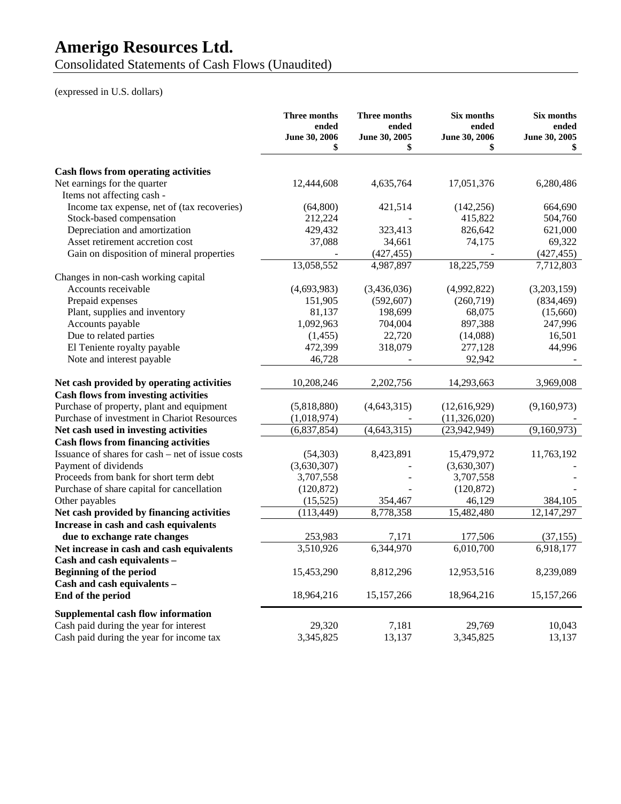Consolidated Statements of Cash Flows (Unaudited)

# (expressed in U.S. dollars)

|                                                  | Three months<br>ended<br>June 30, 2006 | <b>Three months</b><br>ended<br>June 30, 2005 | Six months<br>ended<br>June 30, 2006 | Six months<br>ended<br>June 30, 2005 |
|--------------------------------------------------|----------------------------------------|-----------------------------------------------|--------------------------------------|--------------------------------------|
|                                                  | \$                                     | \$                                            | \$                                   | \$                                   |
| <b>Cash flows from operating activities</b>      |                                        |                                               |                                      |                                      |
| Net earnings for the quarter                     | 12,444,608                             | 4,635,764                                     | 17,051,376                           | 6,280,486                            |
| Items not affecting cash -                       |                                        |                                               |                                      |                                      |
| Income tax expense, net of (tax recoveries)      | (64, 800)                              | 421,514                                       | (142, 256)                           | 664,690                              |
| Stock-based compensation                         | 212,224                                |                                               | 415,822                              | 504,760                              |
| Depreciation and amortization                    | 429,432                                | 323,413                                       | 826,642                              | 621,000                              |
| Asset retirement accretion cost                  | 37,088                                 | 34,661                                        | 74,175                               | 69,322                               |
| Gain on disposition of mineral properties        |                                        | (427, 455)                                    |                                      | (427, 455)                           |
|                                                  | 13,058,552                             | 4,987,897                                     | 18,225,759                           | 7,712,803                            |
| Changes in non-cash working capital              |                                        |                                               |                                      |                                      |
| Accounts receivable                              | (4,693,983)                            | (3,436,036)                                   | (4,992,822)                          | (3,203,159)                          |
| Prepaid expenses                                 | 151,905                                | (592, 607)                                    | (260, 719)                           | (834, 469)                           |
| Plant, supplies and inventory                    | 81,137                                 | 198,699                                       | 68,075                               | (15,660)                             |
| Accounts payable                                 | 1,092,963                              | 704,004                                       | 897,388                              | 247,996                              |
| Due to related parties                           | (1,455)                                | 22,720                                        | (14,088)                             | 16,501                               |
| El Teniente royalty payable                      | 472,399                                | 318,079                                       | 277,128                              | 44,996                               |
| Note and interest payable                        | 46,728                                 |                                               | 92,942                               |                                      |
| Net cash provided by operating activities        | 10,208,246                             | 2,202,756                                     | 14,293,663                           | 3,969,008                            |
| <b>Cash flows from investing activities</b>      |                                        |                                               |                                      |                                      |
| Purchase of property, plant and equipment        | (5,818,880)                            | (4, 643, 315)                                 | (12,616,929)                         | (9,160,973)                          |
| Purchase of investment in Chariot Resources      | (1,018,974)                            |                                               | (11,326,020)                         |                                      |
| Net cash used in investing activities            | (6,837,854)                            | (4, 643, 315)                                 | (23,942,949)                         | (9,160,973)                          |
| <b>Cash flows from financing activities</b>      |                                        |                                               |                                      |                                      |
| Issuance of shares for cash – net of issue costs | (54, 303)                              | 8,423,891                                     | 15,479,972                           | 11,763,192                           |
| Payment of dividends                             | (3,630,307)                            |                                               | (3,630,307)                          |                                      |
| Proceeds from bank for short term debt           | 3,707,558                              |                                               | 3,707,558                            |                                      |
| Purchase of share capital for cancellation       | (120, 872)                             |                                               | (120, 872)                           |                                      |
| Other payables                                   | (15, 525)                              | 354,467                                       | 46,129                               | 384,105                              |
| Net cash provided by financing activities        | (113, 449)                             | 8,778,358                                     | 15,482,480                           | 12, 147, 297                         |
| Increase in cash and cash equivalents            |                                        |                                               |                                      |                                      |
| due to exchange rate changes                     | 253,983                                | 7,171                                         | 177,506                              | (37, 155)                            |
| Net increase in cash and cash equivalents        | 3,510,926                              | 6,344,970                                     | 6,010,700                            | 6,918,177                            |
| Cash and cash equivalents -                      |                                        |                                               |                                      |                                      |
| <b>Beginning of the period</b>                   | 15,453,290                             | 8,812,296                                     | 12,953,516                           | 8,239,089                            |
| Cash and cash equivalents -                      |                                        |                                               |                                      |                                      |
| End of the period                                | 18,964,216                             | 15,157,266                                    | 18,964,216                           | 15,157,266                           |
| Supplemental cash flow information               |                                        |                                               |                                      |                                      |
| Cash paid during the year for interest           | 29,320                                 | 7,181                                         | 29,769                               | 10,043                               |
| Cash paid during the year for income tax         | 3,345,825                              | 13,137                                        | 3,345,825                            | 13,137                               |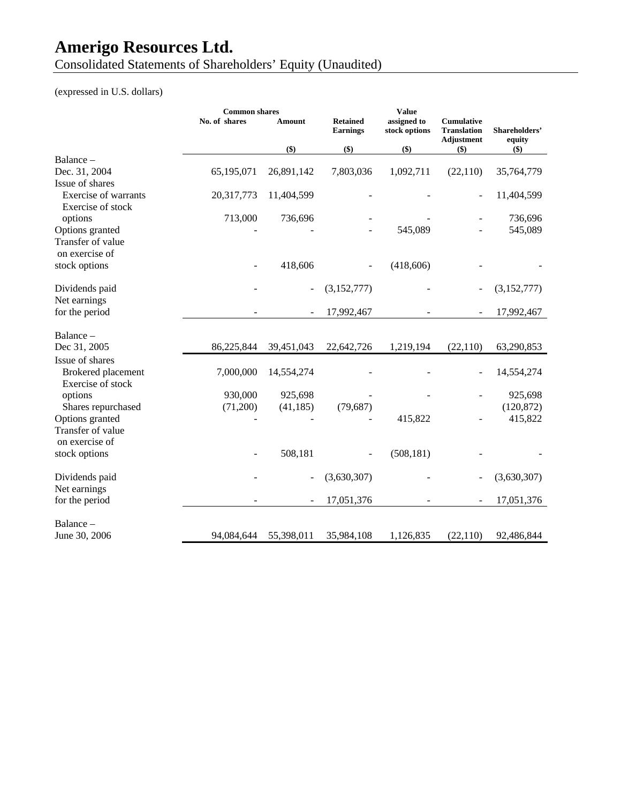Consolidated Statements of Shareholders' Equity (Unaudited)

# (expressed in U.S. dollars)

|                                                  | <b>Common shares</b> |            |                                    | <b>Value</b>                 |                                                              |                         |
|--------------------------------------------------|----------------------|------------|------------------------------------|------------------------------|--------------------------------------------------------------|-------------------------|
|                                                  | No. of shares        | Amount     | <b>Retained</b><br><b>Earnings</b> | assigned to<br>stock options | <b>Cumulative</b><br><b>Translation</b><br><b>Adjustment</b> | Shareholders'<br>equity |
|                                                  |                      | \$)        | \$)                                | $($)$                        | $($)$                                                        | $($)$                   |
| Balance -                                        |                      |            |                                    |                              |                                                              |                         |
| Dec. 31, 2004                                    | 65,195,071           | 26,891,142 | 7,803,036                          | 1,092,711                    | (22,110)                                                     | 35,764,779              |
| Issue of shares                                  |                      |            |                                    |                              |                                                              |                         |
| <b>Exercise of warrants</b><br>Exercise of stock | 20,317,773           | 11,404,599 |                                    |                              |                                                              | 11,404,599              |
| options                                          | 713,000              | 736,696    |                                    |                              |                                                              | 736,696                 |
| Options granted                                  |                      |            |                                    | 545,089                      |                                                              | 545,089                 |
| Transfer of value                                |                      |            |                                    |                              |                                                              |                         |
| on exercise of                                   |                      |            |                                    |                              |                                                              |                         |
| stock options                                    |                      | 418,606    |                                    | (418, 606)                   |                                                              |                         |
| Dividends paid                                   |                      |            | (3,152,777)                        |                              |                                                              | (3,152,777)             |
| Net earnings                                     |                      |            |                                    |                              |                                                              |                         |
| for the period                                   |                      |            | 17,992,467                         |                              |                                                              | 17,992,467              |
| Balance -                                        |                      |            |                                    |                              |                                                              |                         |
| Dec 31, 2005                                     | 86,225,844           | 39,451,043 | 22,642,726                         | 1,219,194                    | (22, 110)                                                    | 63,290,853              |
| Issue of shares                                  |                      |            |                                    |                              |                                                              |                         |
| Brokered placement                               | 7,000,000            | 14,554,274 |                                    |                              |                                                              | 14,554,274              |
| Exercise of stock                                |                      |            |                                    |                              |                                                              |                         |
| options                                          | 930,000              | 925,698    |                                    |                              |                                                              | 925,698                 |
| Shares repurchased                               | (71,200)             | (41, 185)  | (79, 687)                          |                              |                                                              | (120, 872)              |
| Options granted                                  |                      |            |                                    | 415,822                      |                                                              | 415,822                 |
| Transfer of value                                |                      |            |                                    |                              |                                                              |                         |
| on exercise of                                   |                      |            |                                    |                              |                                                              |                         |
| stock options                                    |                      | 508,181    |                                    | (508, 181)                   |                                                              |                         |
| Dividends paid                                   |                      |            | (3,630,307)                        |                              |                                                              | (3,630,307)             |
| Net earnings                                     |                      |            |                                    |                              |                                                              |                         |
| for the period                                   |                      |            | 17,051,376                         |                              |                                                              | 17,051,376              |
| Balance -                                        |                      |            |                                    |                              |                                                              |                         |
| June 30, 2006                                    | 94,084,644           | 55,398,011 | 35,984,108                         | 1,126,835                    | (22, 110)                                                    | 92,486,844              |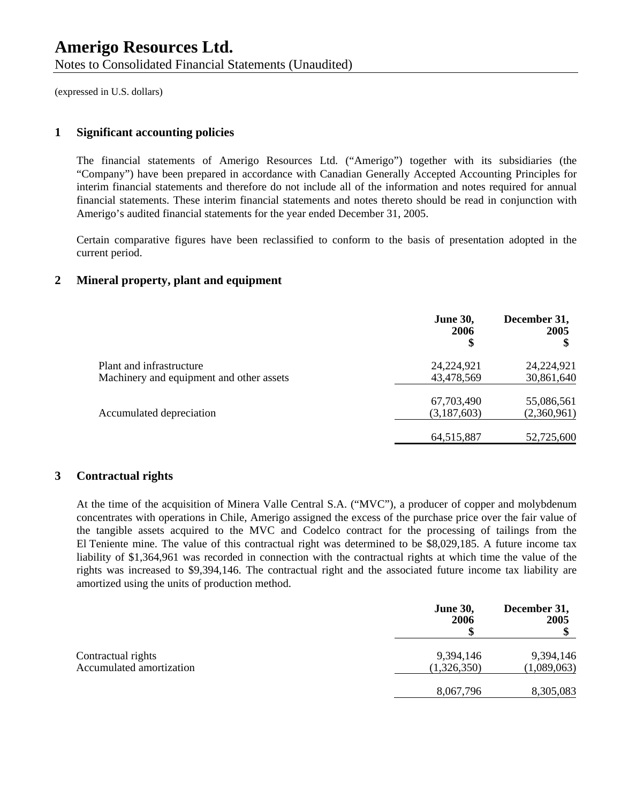(expressed in U.S. dollars)

#### **1 Significant accounting policies**

The financial statements of Amerigo Resources Ltd. ("Amerigo") together with its subsidiaries (the "Company") have been prepared in accordance with Canadian Generally Accepted Accounting Principles for interim financial statements and therefore do not include all of the information and notes required for annual financial statements. These interim financial statements and notes thereto should be read in conjunction with Amerigo's audited financial statements for the year ended December 31, 2005.

Certain comparative figures have been reclassified to conform to the basis of presentation adopted in the current period.

## **2 Mineral property, plant and equipment**

|                                                                      | <b>June 30,</b><br>2006<br>\$ | December 31,<br>2005     |
|----------------------------------------------------------------------|-------------------------------|--------------------------|
| Plant and infrastructure<br>Machinery and equipment and other assets | 24,224,921<br>43,478,569      | 24,224,921<br>30,861,640 |
|                                                                      |                               |                          |
|                                                                      | 67,703,490                    | 55,086,561               |
| Accumulated depreciation                                             | (3,187,603)                   | (2,360,961)              |
|                                                                      | 64, 515, 887                  | 52,725,600               |

#### **3 Contractual rights**

At the time of the acquisition of Minera Valle Central S.A. ("MVC"), a producer of copper and molybdenum concentrates with operations in Chile, Amerigo assigned the excess of the purchase price over the fair value of the tangible assets acquired to the MVC and Codelco contract for the processing of tailings from the El Teniente mine. The value of this contractual right was determined to be \$8,029,185. A future income tax liability of \$1,364,961 was recorded in connection with the contractual rights at which time the value of the rights was increased to \$9,394,146. The contractual right and the associated future income tax liability are amortized using the units of production method.

|                          | <b>June 30,</b><br>2006 | December 31,<br>2005 |
|--------------------------|-------------------------|----------------------|
| Contractual rights       | 9,394,146               | 9,394,146            |
| Accumulated amortization | (1,326,350)             | (1,089,063)          |
|                          | 8,067,796               | 8,305,083            |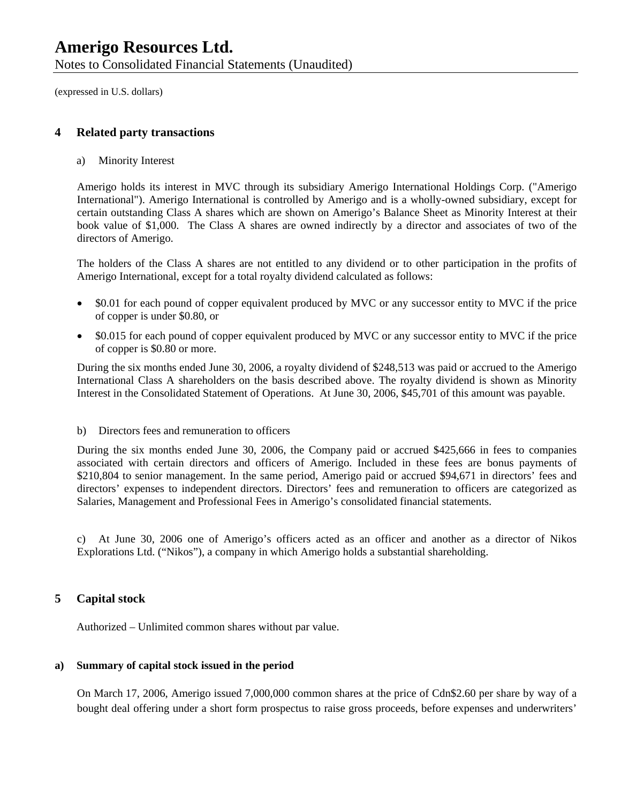Notes to Consolidated Financial Statements (Unaudited)

(expressed in U.S. dollars)

### **4 Related party transactions**

a) Minority Interest

Amerigo holds its interest in MVC through its subsidiary Amerigo International Holdings Corp. ("Amerigo International"). Amerigo International is controlled by Amerigo and is a wholly-owned subsidiary, except for certain outstanding Class A shares which are shown on Amerigo's Balance Sheet as Minority Interest at their book value of \$1,000. The Class A shares are owned indirectly by a director and associates of two of the directors of Amerigo.

The holders of the Class A shares are not entitled to any dividend or to other participation in the profits of Amerigo International, except for a total royalty dividend calculated as follows:

- \$0.01 for each pound of copper equivalent produced by MVC or any successor entity to MVC if the price of copper is under \$0.80, or
- \$0.015 for each pound of copper equivalent produced by MVC or any successor entity to MVC if the price of copper is \$0.80 or more.

During the six months ended June 30, 2006, a royalty dividend of \$248,513 was paid or accrued to the Amerigo International Class A shareholders on the basis described above. The royalty dividend is shown as Minority Interest in the Consolidated Statement of Operations. At June 30, 2006, \$45,701 of this amount was payable.

#### b) Directors fees and remuneration to officers

During the six months ended June 30, 2006, the Company paid or accrued \$425,666 in fees to companies associated with certain directors and officers of Amerigo. Included in these fees are bonus payments of \$210,804 to senior management. In the same period, Amerigo paid or accrued \$94,671 in directors' fees and directors' expenses to independent directors. Directors' fees and remuneration to officers are categorized as Salaries, Management and Professional Fees in Amerigo's consolidated financial statements.

c) At June 30, 2006 one of Amerigo's officers acted as an officer and another as a director of Nikos Explorations Ltd. ("Nikos"), a company in which Amerigo holds a substantial shareholding.

### **5 Capital stock**

Authorized – Unlimited common shares without par value.

#### **a) Summary of capital stock issued in the period**

On March 17, 2006, Amerigo issued 7,000,000 common shares at the price of Cdn\$2.60 per share by way of a bought deal offering under a short form prospectus to raise gross proceeds, before expenses and underwriters'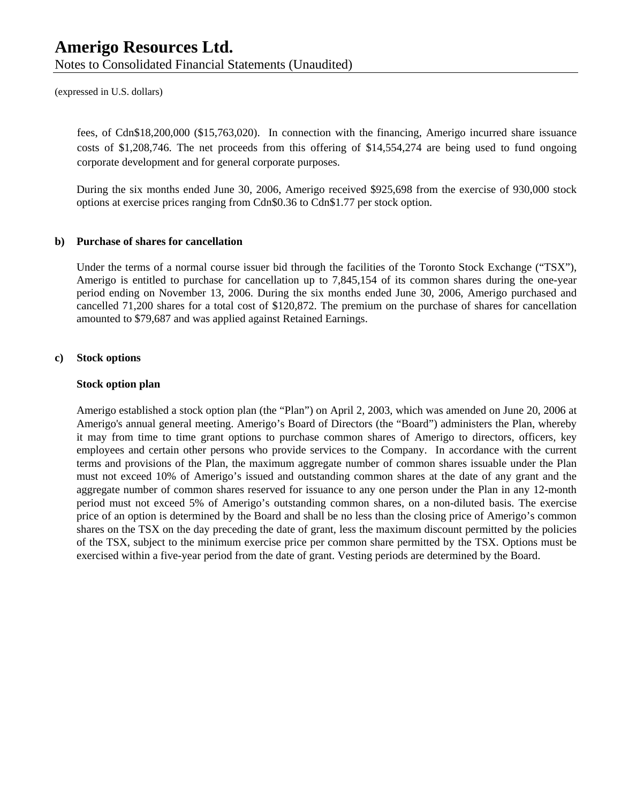Notes to Consolidated Financial Statements (Unaudited)

(expressed in U.S. dollars)

fees, of Cdn\$18,200,000 (\$15,763,020). In connection with the financing, Amerigo incurred share issuance costs of \$1,208,746. The net proceeds from this offering of \$14,554,274 are being used to fund ongoing corporate development and for general corporate purposes.

During the six months ended June 30, 2006, Amerigo received \$925,698 from the exercise of 930,000 stock options at exercise prices ranging from Cdn\$0.36 to Cdn\$1.77 per stock option.

#### **b) Purchase of shares for cancellation**

Under the terms of a normal course issuer bid through the facilities of the Toronto Stock Exchange ("TSX"), Amerigo is entitled to purchase for cancellation up to 7,845,154 of its common shares during the one-year period ending on November 13, 2006. During the six months ended June 30, 2006, Amerigo purchased and cancelled 71,200 shares for a total cost of \$120,872. The premium on the purchase of shares for cancellation amounted to \$79,687 and was applied against Retained Earnings.

#### **c) Stock options**

#### **Stock option plan**

Amerigo established a stock option plan (the "Plan") on April 2, 2003, which was amended on June 20, 2006 at Amerigo's annual general meeting. Amerigo's Board of Directors (the "Board") administers the Plan, whereby it may from time to time grant options to purchase common shares of Amerigo to directors, officers, key employees and certain other persons who provide services to the Company. In accordance with the current terms and provisions of the Plan, the maximum aggregate number of common shares issuable under the Plan must not exceed 10% of Amerigo's issued and outstanding common shares at the date of any grant and the aggregate number of common shares reserved for issuance to any one person under the Plan in any 12-month period must not exceed 5% of Amerigo's outstanding common shares, on a non-diluted basis. The exercise price of an option is determined by the Board and shall be no less than the closing price of Amerigo's common shares on the TSX on the day preceding the date of grant, less the maximum discount permitted by the policies of the TSX, subject to the minimum exercise price per common share permitted by the TSX. Options must be exercised within a five-year period from the date of grant. Vesting periods are determined by the Board.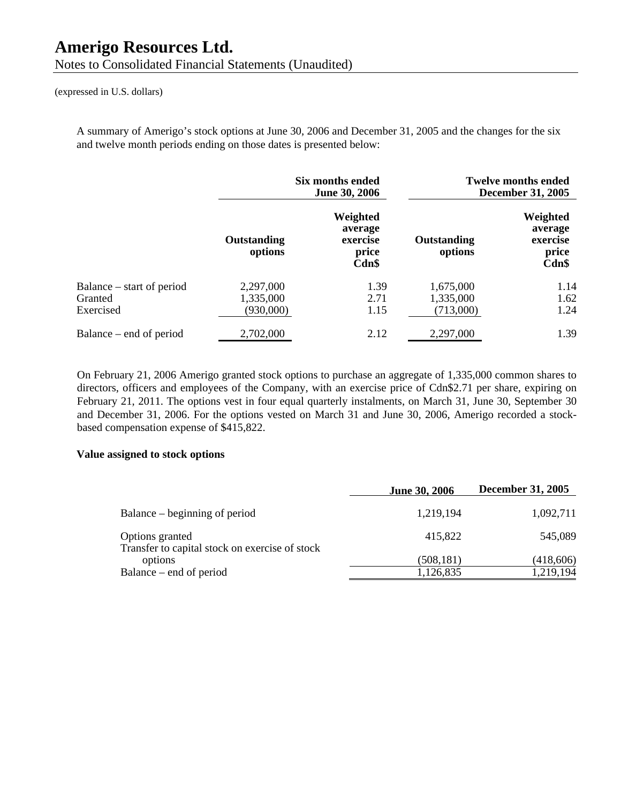#### (expressed in U.S. dollars)

A summary of Amerigo's stock options at June 30, 2006 and December 31, 2005 and the changes for the six and twelve month periods ending on those dates is presented below:

|                                                   | Six months ended<br><b>June 30, 2006</b> |                                                   |                                     | <b>Twelve months ended</b><br><b>December 31, 2005</b> |
|---------------------------------------------------|------------------------------------------|---------------------------------------------------|-------------------------------------|--------------------------------------------------------|
|                                                   | Outstanding<br>options                   | Weighted<br>average<br>exercise<br>price<br>Cdn\$ | Outstanding<br>options              | Weighted<br>average<br>exercise<br>price<br>Cdn\$      |
| Balance – start of period<br>Granted<br>Exercised | 2,297,000<br>1,335,000<br>(930,000)      | 1.39<br>2.71<br>1.15                              | 1,675,000<br>1,335,000<br>(713,000) | 1.14<br>1.62<br>1.24                                   |
| Balance – end of period                           | 2,702,000                                | 2.12                                              | 2,297,000                           | 1.39                                                   |

On February 21, 2006 Amerigo granted stock options to purchase an aggregate of 1,335,000 common shares to directors, officers and employees of the Company, with an exercise price of Cdn\$2.71 per share, expiring on February 21, 2011. The options vest in four equal quarterly instalments, on March 31, June 30, September 30 and December 31, 2006. For the options vested on March 31 and June 30, 2006, Amerigo recorded a stockbased compensation expense of \$415,822.

#### **Value assigned to stock options**

|                                                                   | <b>June 30, 2006</b> | <b>December 31, 2005</b> |
|-------------------------------------------------------------------|----------------------|--------------------------|
| Balance – beginning of period                                     | 1,219,194            | 1,092,711                |
| Options granted<br>Transfer to capital stock on exercise of stock | 415,822              | 545,089                  |
| options                                                           | (508, 181)           | (418,606)                |
| Balance – end of period                                           | 1,126,835            | 1,219,194                |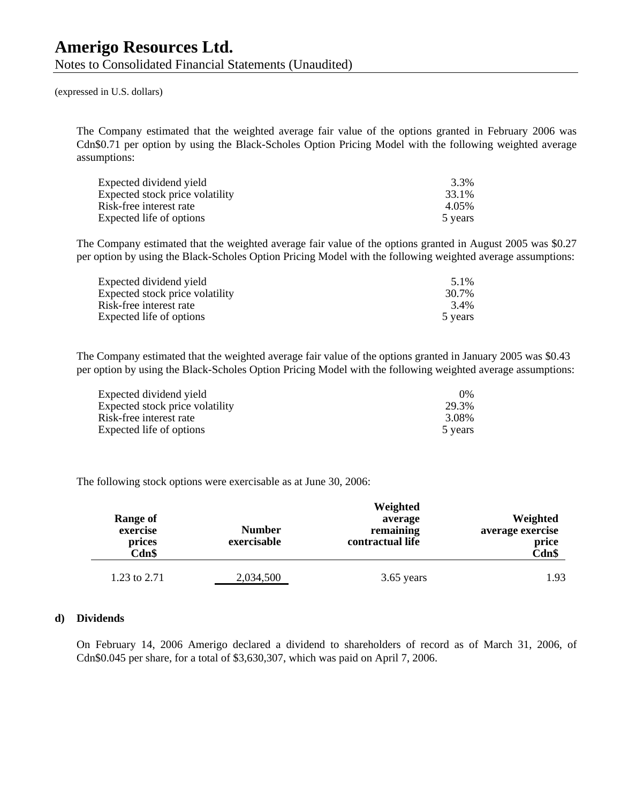(expressed in U.S. dollars)

The Company estimated that the weighted average fair value of the options granted in February 2006 was Cdn\$0.71 per option by using the Black-Scholes Option Pricing Model with the following weighted average assumptions:

| Expected dividend yield         | 3.3%    |
|---------------------------------|---------|
| Expected stock price volatility | 33.1%   |
| Risk-free interest rate         | 4.05%   |
| Expected life of options        | 5 years |

The Company estimated that the weighted average fair value of the options granted in August 2005 was \$0.27 per option by using the Black-Scholes Option Pricing Model with the following weighted average assumptions:

| Expected dividend yield         | 5.1%    |
|---------------------------------|---------|
| Expected stock price volatility | 30.7%   |
| Risk-free interest rate         | 3.4%    |
| Expected life of options        | 5 years |

The Company estimated that the weighted average fair value of the options granted in January 2005 was \$0.43 per option by using the Black-Scholes Option Pricing Model with the following weighted average assumptions:

| Expected dividend yield         | $0\%$   |
|---------------------------------|---------|
| Expected stock price volatility | 29.3%   |
| Risk-free interest rate         | 3.08%   |
| Expected life of options        | 5 years |

The following stock options were exercisable as at June 30, 2006:

| <b>Range of</b><br>exercise<br>prices<br>Cdn\$ | <b>Number</b><br>exercisable | Weighted<br>average<br>remaining<br>contractual life | Weighted<br>average exercise<br>price<br>Cdn\$ |
|------------------------------------------------|------------------------------|------------------------------------------------------|------------------------------------------------|
| 1.23 to 2.71                                   | 2,034,500                    | 3.65 years                                           | 1.93                                           |

#### **d) Dividends**

On February 14, 2006 Amerigo declared a dividend to shareholders of record as of March 31, 2006, of Cdn\$0.045 per share, for a total of \$3,630,307, which was paid on April 7, 2006.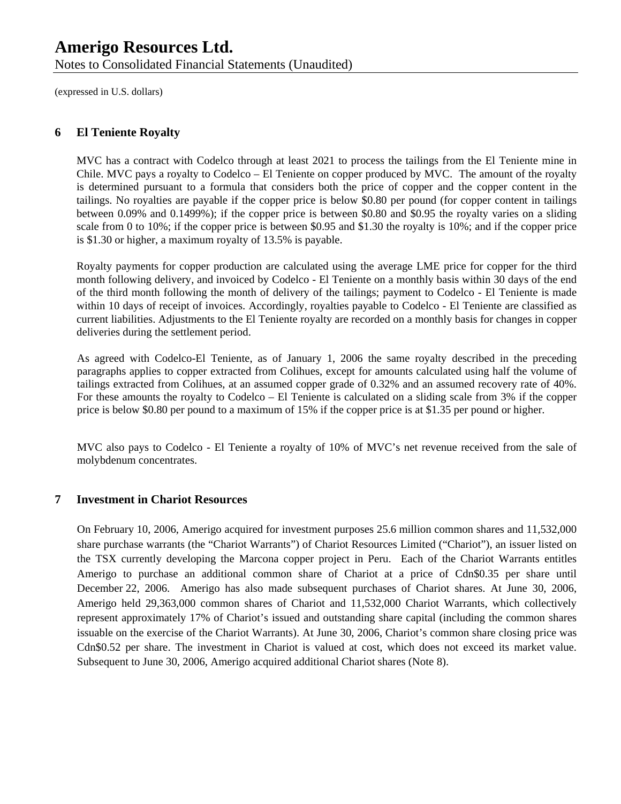Notes to Consolidated Financial Statements (Unaudited)

(expressed in U.S. dollars)

## **6 El Teniente Royalty**

MVC has a contract with Codelco through at least 2021 to process the tailings from the El Teniente mine in Chile. MVC pays a royalty to Codelco – El Teniente on copper produced by MVC. The amount of the royalty is determined pursuant to a formula that considers both the price of copper and the copper content in the tailings. No royalties are payable if the copper price is below \$0.80 per pound (for copper content in tailings between 0.09% and 0.1499%); if the copper price is between \$0.80 and \$0.95 the royalty varies on a sliding scale from 0 to 10%; if the copper price is between \$0.95 and \$1.30 the royalty is 10%; and if the copper price is \$1.30 or higher, a maximum royalty of 13.5% is payable.

Royalty payments for copper production are calculated using the average LME price for copper for the third month following delivery, and invoiced by Codelco - El Teniente on a monthly basis within 30 days of the end of the third month following the month of delivery of the tailings; payment to Codelco - El Teniente is made within 10 days of receipt of invoices. Accordingly, royalties payable to Codelco - El Teniente are classified as current liabilities. Adjustments to the El Teniente royalty are recorded on a monthly basis for changes in copper deliveries during the settlement period.

As agreed with Codelco-El Teniente, as of January 1, 2006 the same royalty described in the preceding paragraphs applies to copper extracted from Colihues, except for amounts calculated using half the volume of tailings extracted from Colihues, at an assumed copper grade of 0.32% and an assumed recovery rate of 40%. For these amounts the royalty to Codelco – El Teniente is calculated on a sliding scale from 3% if the copper price is below \$0.80 per pound to a maximum of 15% if the copper price is at \$1.35 per pound or higher.

MVC also pays to Codelco - El Teniente a royalty of 10% of MVC's net revenue received from the sale of molybdenum concentrates.

### **7 Investment in Chariot Resources**

On February 10, 2006, Amerigo acquired for investment purposes 25.6 million common shares and 11,532,000 share purchase warrants (the "Chariot Warrants") of Chariot Resources Limited ("Chariot"), an issuer listed on the TSX currently developing the Marcona copper project in Peru. Each of the Chariot Warrants entitles Amerigo to purchase an additional common share of Chariot at a price of Cdn\$0.35 per share until December 22, 2006. Amerigo has also made subsequent purchases of Chariot shares. At June 30, 2006, Amerigo held 29,363,000 common shares of Chariot and 11,532,000 Chariot Warrants, which collectively represent approximately 17% of Chariot's issued and outstanding share capital (including the common shares issuable on the exercise of the Chariot Warrants). At June 30, 2006, Chariot's common share closing price was Cdn\$0.52 per share. The investment in Chariot is valued at cost, which does not exceed its market value. Subsequent to June 30, 2006, Amerigo acquired additional Chariot shares (Note 8).